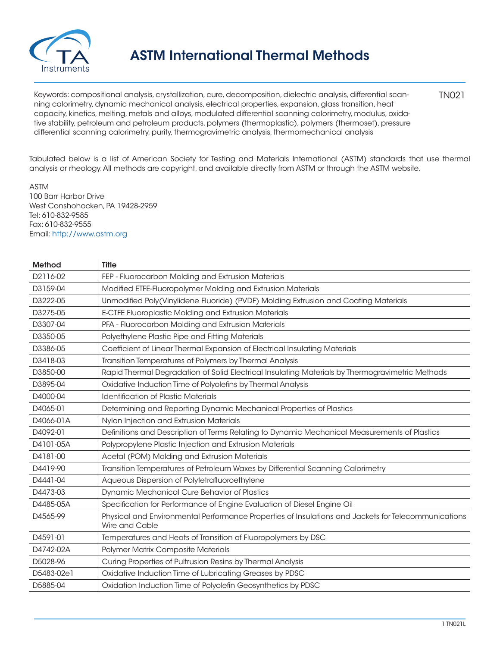

TN021 Keywords: compositional analysis, crystallization, cure, decomposition, dielectric analysis, differential scanning calorimetry, dynamic mechanical analysis, electrical properties, expansion, glass transition, heat capacity, kinetics, melting, metals and alloys, modulated differential scanning calorimetry, modulus, oxidative stability, petroleum and petroleum products, polymers (thermoplastic), polymers (thermoset), pressure differential scanning calorimetry, purity, thermogravimetric analysis, thermomechanical analysis

Tabulated below is a list of American Society for Testing and Materials International (ASTM) standards that use thermal analysis or rheology. All methods are copyright, and available directly from ASTM or through the ASTM website.

ASTM 100 Barr Harbor Drive West Conshohocken, PA 19428-2959 Tel: 610-832-9585 Fax: 610-832-9555 Email: http://www.astm.org

| Method     | <b>Title</b>                                                                                                          |
|------------|-----------------------------------------------------------------------------------------------------------------------|
| D2116-02   | FEP - Fluorocarbon Molding and Extrusion Materials                                                                    |
| D3159-04   | Modified ETFE-Fluoropolymer Molding and Extrusion Materials                                                           |
| D3222-05   | Unmodified Poly(Vinylidene Fluoride) (PVDF) Molding Extrusion and Coating Materials                                   |
| D3275-05   | E-CTFE Fluoroplastic Molding and Extrusion Materials                                                                  |
| D3307-04   | PFA - Fluorocarbon Molding and Extrusion Materials                                                                    |
| D3350-05   | Polyethylene Plastic Pipe and Fitting Materials                                                                       |
| D3386-05   | Coefficient of Linear Thermal Expansion of Electrical Insulating Materials                                            |
| D3418-03   | Transition Temperatures of Polymers by Thermal Analysis                                                               |
| D3850-00   | Rapid Thermal Degradation of Solid Electrical Insulating Materials by Thermogravimetric Methods                       |
| D3895-04   | Oxidative Induction Time of Polyolefins by Thermal Analysis                                                           |
| D4000-04   | <b>Identification of Plastic Materials</b>                                                                            |
| D4065-01   | Determining and Reporting Dynamic Mechanical Properties of Plastics                                                   |
| D4066-01A  | Nylon Injection and Extrusion Materials                                                                               |
| D4092-01   | Definitions and Description of Terms Relating to Dynamic Mechanical Measurements of Plastics                          |
| D4101-05A  | Polypropylene Plastic Injection and Extrusion Materials                                                               |
| D4181-00   | Acetal (POM) Molding and Extrusion Materials                                                                          |
| D4419-90   | Transition Temperatures of Petroleum Waxes by Differential Scanning Calorimetry                                       |
| D4441-04   | Aqueous Dispersion of Polytetrafluoroethylene                                                                         |
| D4473-03   | Dynamic Mechanical Cure Behavior of Plastics                                                                          |
| D4485-05A  | Specification for Performance of Engine Evaluation of Diesel Engine Oil                                               |
| D4565-99   | Physical and Environmental Performance Properties of Insulations and Jackets for Telecommunications<br>Wire and Cable |
| D4591-01   | Temperatures and Heats of Transition of Fluoropolymers by DSC                                                         |
| D4742-02A  | Polymer Matrix Composite Materials                                                                                    |
| D5028-96   | Curing Properties of Pultrusion Resins by Thermal Analysis                                                            |
| D5483-02e1 | Oxidative Induction Time of Lubricating Greases by PDSC                                                               |
| D5885-04   | Oxidation Induction Time of Polyolefin Geosynthetics by PDSC                                                          |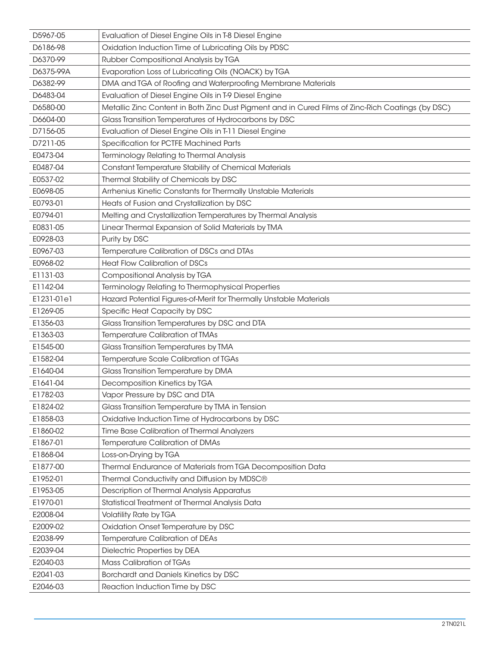| D5967-05   | Evaluation of Diesel Engine Oils in T-8 Diesel Engine                                             |
|------------|---------------------------------------------------------------------------------------------------|
| D6186-98   | Oxidation Induction Time of Lubricating Oils by PDSC                                              |
| D6370-99   | Rubber Compositional Analysis by TGA                                                              |
| D6375-99A  | Evaporation Loss of Lubricating Oils (NOACK) by TGA                                               |
| D6382-99   | DMA and TGA of Roofing and Waterproofing Membrane Materials                                       |
| D6483-04   | Evaluation of Diesel Engine Oils in T-9 Diesel Engine                                             |
| D6580-00   | Metallic Zinc Content in Both Zinc Dust Pigment and in Cured Films of Zinc-Rich Coatings (by DSC) |
| D6604-00   | Glass Transition Temperatures of Hydrocarbons by DSC                                              |
| D7156-05   | Evaluation of Diesel Engine Oils in T-11 Diesel Engine                                            |
| D7211-05   | Specification for PCTFE Machined Parts                                                            |
| E0473-04   | Terminology Relating to Thermal Analysis                                                          |
| E0487-04   | Constant Temperature Stability of Chemical Materials                                              |
| E0537-02   | Thermal Stability of Chemicals by DSC                                                             |
| E0698-05   | Arrhenius Kinetic Constants for Thermally Unstable Materials                                      |
| E0793-01   | Heats of Fusion and Crystallization by DSC                                                        |
| E0794-01   | Melting and Crystallization Temperatures by Thermal Analysis                                      |
| E0831-05   | Linear Thermal Expansion of Solid Materials by TMA                                                |
| E0928-03   | Purity by DSC                                                                                     |
| E0967-03   | Temperature Calibration of DSCs and DTAs                                                          |
| E0968-02   | <b>Heat Flow Calibration of DSCs</b>                                                              |
| E1131-03   | Compositional Analysis by TGA                                                                     |
| E1142-04   | Terminology Relating to Thermophysical Properties                                                 |
| E1231-01e1 | Hazard Potential Figures-of-Merit for Thermally Unstable Materials                                |
| E1269-05   | Specific Heat Capacity by DSC                                                                     |
| E1356-03   | Glass Transition Temperatures by DSC and DTA                                                      |
| E1363-03   | Temperature Calibration of TMAs                                                                   |
| E1545-00   | Glass Transition Temperatures by TMA                                                              |
| E1582-04   | Temperature Scale Calibration of TGAs                                                             |
| E1640-04   | Glass Transition Temperature by DMA                                                               |
| E1641-04   | Decomposition Kinetics by TGA                                                                     |
| E1782-03   | Vapor Pressure by DSC and DTA                                                                     |
| E1824-02   | Glass Transition Temperature by TMA in Tension                                                    |
| E1858-03   | Oxidative Induction Time of Hydrocarbons by DSC                                                   |
| E1860-02   | Time Base Calibration of Thermal Analyzers                                                        |
| E1867-01   | Temperature Calibration of DMAs                                                                   |
| E1868-04   | Loss-on-Drying by TGA                                                                             |
| E1877-00   | Thermal Endurance of Materials from TGA Decomposition Data                                        |
| E1952-01   | Thermal Conductivity and Diffusion by MDSC®                                                       |
| E1953-05   | Description of Thermal Analysis Apparatus                                                         |
| E1970-01   | Statistical Treatment of Thermal Analysis Data                                                    |
| E2008-04   | <b>Volatility Rate by TGA</b>                                                                     |
| E2009-02   | Oxidation Onset Temperature by DSC                                                                |
| E2038-99   | Temperature Calibration of DEAs                                                                   |
| E2039-04   | Dielectric Properties by DEA                                                                      |
| E2040-03   | <b>Mass Calibration of TGAs</b>                                                                   |
| E2041-03   | Borchardt and Daniels Kinetics by DSC                                                             |
| E2046-03   | Reaction Induction Time by DSC                                                                    |